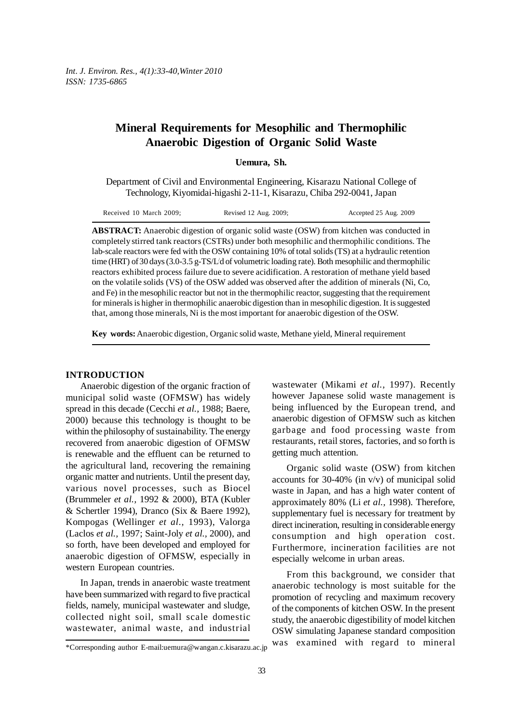# **Mineral Requirements for Mesophilic and Thermophilic Anaerobic Digestion of Organic Solid Waste**

**Uemura, Sh.**

Department of Civil and Environmental Engineering, Kisarazu National College of Technology, Kiyomidai-higashi 2-11-1, Kisarazu, Chiba 292-0041, Japan

| Received 10 March 2009: | Revised 12 Aug. 2009; | Accepted 25 Aug. 2009 |
|-------------------------|-----------------------|-----------------------|
|                         |                       |                       |

**ABSTRACT:** Anaerobic digestion of organic solid waste (OSW) from kitchen was conducted in completely stirred tank reactors (CSTRs) under both mesophilic and thermophilic conditions. The lab-scale reactors were fed with the OSW containing 10% of total solids (TS) at a hydraulic retention time (HRT) of 30 days (3.0-3.5 g-TS/L/d of volumetric loading rate). Both mesophilic and thermophilic reactors exhibited process failure due to severe acidification. A restoration of methane yield based on the volatile solids (VS) of the OSW added was observed after the addition of minerals (Ni, Co, and Fe) in the mesophilic reactor but not in the thermophilic reactor, suggesting that the requirement for minerals is higher in thermophilic anaerobic digestion than in mesophilic digestion. It is suggested that, among those minerals, Ni is the most important for anaerobic digestion of the OSW.

**Key words:** Anaerobic digestion, Organic solid waste, Methane yield, Mineral requirement

# **INTRODUCTION**

Anaerobic digestion of the organic fraction of municipal solid waste (OFMSW) has widely spread in this decade (Cecchi *et al.,* 1988; Baere, 2000) because this technology is thought to be within the philosophy of sustainability. The energy recovered from anaerobic digestion of OFMSW is renewable and the effluent can be returned to the agricultural land, recovering the remaining organic matter and nutrients. Until the present day, various novel processes, such as Biocel (Brummeler *et al.,* 1992 & 2000), BTA (Kubler & Schertler 1994), Dranco (Six & Baere 1992), Kompogas (Wellinger *et al.,* 1993), Valorga (Laclos *et al.,* 1997; Saint-Joly *et al.,* 2000), and so forth, have been developed and employed for anaerobic digestion of OFMSW, especially in western European countries.

In Japan, trends in anaerobic waste treatment have been summarized with regard to five practical fields, namely, municipal wastewater and sludge, collected night soil, small scale domestic wastewater, animal waste, and industrial

wastewater (Mikami *et al.,* 1997). Recently however Japanese solid waste management is being influenced by the European trend, and anaerobic digestion of OFMSW such as kitchen garbage and food processing waste from restaurants, retail stores, factories, and so forth is getting much attention.

Organic solid waste (OSW) from kitchen accounts for 30-40% (in  $v/v$ ) of municipal solid waste in Japan, and has a high water content of approximately 80% (Li *et al.,* 1998). Therefore, supplementary fuel is necessary for treatment by direct incineration, resulting in considerable energy consumption and high operation cost. Furthermore, incineration facilities are not especially welcome in urban areas.

From this background, we consider that anaerobic technology is most suitable for the promotion of recycling and maximum recovery of the components of kitchen OSW. In the present study, the anaerobic digestibility of model kitchen OSW simulating Japanese standard composition was examined with regard to mineral

<sup>\*</sup>Corresponding author E-mail:uemura@wangan.c.kisarazu.ac.jp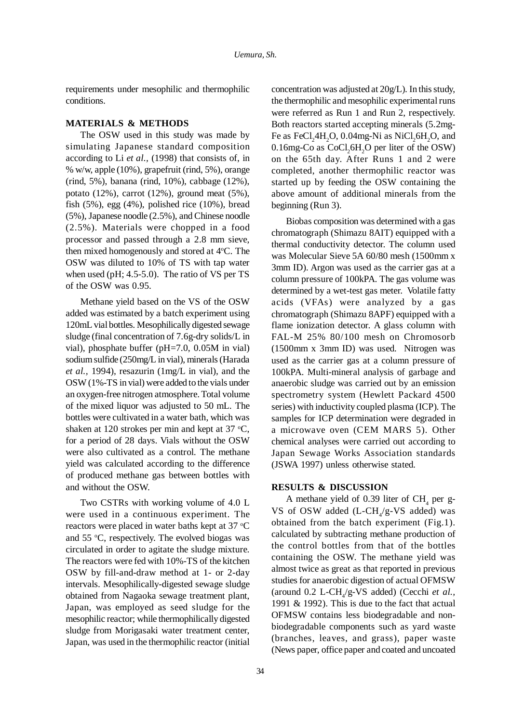requirements under mesophilic and thermophilic conditions.

#### **MATERIALS & METHODS**

The OSW used in this study was made by simulating Japanese standard composition according to Li *et al.,* (1998) that consists of, in % w/w, apple (10%), grapefruit (rind, 5%), orange (rind, 5%), banana (rind, 10%), cabbage (12%), potato (12%), carrot (12%), ground meat (5%), fish (5%), egg (4%), polished rice (10%), bread (5%), Japanese noodle (2.5%), and Chinese noodle (2.5%). Materials were chopped in a food processor and passed through a 2.8 mm sieve, then mixed homogenously and stored at 4°C. The OSW was diluted to 10% of TS with tap water when used (pH; 4.5-5.0). The ratio of VS per TS of the OSW was 0.95.

Methane yield based on the VS of the OSW added was estimated by a batch experiment using 120mL vial bottles. Mesophilically digested sewage sludge (final concentration of 7.6g-dry solids/L in vial), phosphate buffer (pH=7.0, 0.05M in vial) sodium sulfide (250mg/L in vial), minerals (Harada *et al.,* 1994), resazurin (1mg/L in vial), and the OSW (1%-TS in vial) were added to the vials under an oxygen-free nitrogen atmosphere. Total volume of the mixed liquor was adjusted to 50 mL. The bottles were cultivated in a water bath, which was shaken at 120 strokes per min and kept at 37  $°C$ , for a period of 28 days. Vials without the OSW were also cultivated as a control. The methane yield was calculated according to the difference of produced methane gas between bottles with and without the OSW.

Two CSTRs with working volume of 4.0 L were used in a continuous experiment. The reactors were placed in water baths kept at 37  $\mathrm{^{\circ}C}$ and 55 °C, respectively. The evolved biogas was circulated in order to agitate the sludge mixture. The reactors were fed with 10%-TS of the kitchen OSW by fill-and-draw method at 1- or 2-day intervals. Mesophilically-digested sewage sludge obtained from Nagaoka sewage treatment plant, Japan, was employed as seed sludge for the mesophilic reactor; while thermophilically digested sludge from Morigasaki water treatment center, Japan, was used in the thermophilic reactor (initial

concentration was adjusted at 20g/L). In this study, the thermophilic and mesophilic experimental runs were referred as Run 1 and Run 2, respectively. Both reactors started accepting minerals (5.2mg-Fe as  $FeCl<sub>2</sub>4H<sub>2</sub>O$ , 0.04mg-Ni as  $NiCl<sub>2</sub>6H<sub>2</sub>O$ , and  $0.16$ mg-Co as  $CoCl<sub>2</sub>6H<sub>2</sub>O$  per liter of the OSW) on the 65th day. After Runs 1 and 2 were completed, another thermophilic reactor was started up by feeding the OSW containing the above amount of additional minerals from the beginning (Run 3).

Biobas composition was determined with a gas chromatograph (Shimazu 8AIT) equipped with a thermal conductivity detector. The column used was Molecular Sieve 5A 60/80 mesh (1500mm x 3mm ID). Argon was used as the carrier gas at a column pressure of 100kPA. The gas volume was determined by a wet-test gas meter. Volatile fatty acids (VFAs) were analyzed by a gas chromatograph (Shimazu 8APF) equipped with a flame ionization detector. A glass column with FAL-M 25% 80/100 mesh on Chromosorb (1500mm x 3mm ID) was used. Nitrogen was used as the carrier gas at a column pressure of 100kPA. Multi-mineral analysis of garbage and anaerobic sludge was carried out by an emission spectrometry system (Hewlett Packard 4500 series) with inductivity coupled plasma (ICP). The samples for ICP determination were degraded in a microwave oven (CEM MARS 5). Other chemical analyses were carried out according to Japan Sewage Works Association standards (JSWA 1997) unless otherwise stated.

### **RESULTS & DISCUSSION**

A methane yield of  $0.39$  liter of  $CH<sub>4</sub>$  per g-VS of OSW added  $(L-CH<sub>A</sub>/g-VS)$  added) was obtained from the batch experiment (Fig.1). calculated by subtracting methane production of the control bottles from that of the bottles containing the OSW. The methane yield was almost twice as great as that reported in previous studies for anaerobic digestion of actual OFMSW (around 0.2 L-CH<sub>4</sub>/g-VS added) (Cecchi *et al.*, 1991 & 1992). This is due to the fact that actual OFMSW contains less biodegradable and nonbiodegradable components such as yard waste (branches, leaves, and grass), paper waste (News paper, office paper and coated and uncoated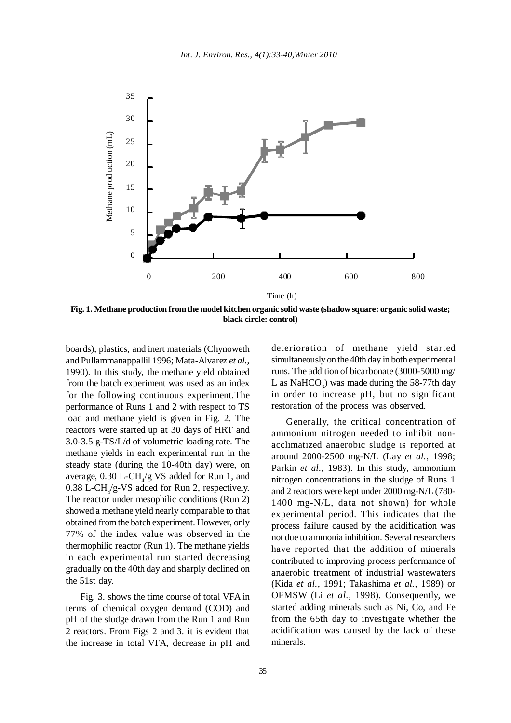

**Fig. 1. Methane production from the model kitchen organic solid waste (shadow square: organic solid waste; black circle: control)**

boards), plastics, and inert materials (Chynoweth and Pullammanappallil 1996; Mata-Alvarez *et al.,* 1990). In this study, the methane yield obtained from the batch experiment was used as an index for the following continuous experiment.The performance of Runs 1 and 2 with respect to TS load and methane yield is given in Fig. 2. The reactors were started up at 30 days of HRT and 3.0-3.5 g-TS/L/d of volumetric loading rate. The methane yields in each experimental run in the steady state (during the 10-40th day) were, on average,  $0.30$  L-CH<sub>4</sub>/g VS added for Run 1, and  $0.38$  L-CH<sub>4</sub>/g-VS added for Run 2, respectively. The reactor under mesophilic conditions (Run 2) showed a methane yield nearly comparable to that obtained from the batch experiment. However, only 77% of the index value was observed in the thermophilic reactor (Run 1). The methane yields in each experimental run started decreasing gradually on the 40th day and sharply declined on the 51st day.

Fig. 3. shows the time course of total VFA in terms of chemical oxygen demand (COD) and pH of the sludge drawn from the Run 1 and Run 2 reactors. From Figs 2 and 3. it is evident that the increase in total VFA, decrease in pH and

deterioration of methane yield started simultaneously on the 40th day in both experimental runs. The addition of bicarbonate (3000-5000 mg/ L as  $\text{NaHCO}_3$ ) was made during the 58-77th day in order to increase pH, but no significant restoration of the process was observed.

Generally, the critical concentration of ammonium nitrogen needed to inhibit nonacclimatized anaerobic sludge is reported at around 2000-2500 mg-N/L (Lay *et al.,* 1998; Parkin *et al.,* 1983). In this study, ammonium nitrogen concentrations in the sludge of Runs 1 and 2 reactors were kept under 2000 mg-N/L (780- 1400 mg-N/L, data not shown) for whole experimental period. This indicates that the process failure caused by the acidification was not due to ammonia inhibition. Several researchers have reported that the addition of minerals contributed to improving process performance of anaerobic treatment of industrial wastewaters (Kida *et al.,* 1991; Takashima *et al.,* 1989) or OFMSW (Li *et al.,* 1998). Consequently, we started adding minerals such as Ni, Co, and Fe from the 65th day to investigate whether the acidification was caused by the lack of these minerals.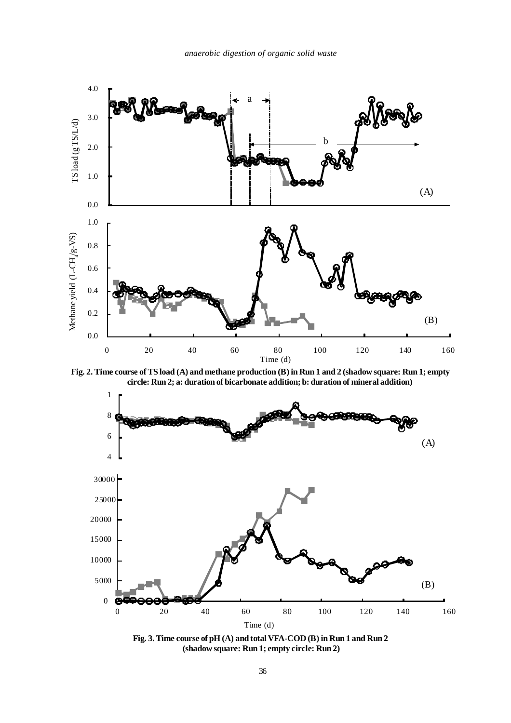

**Fig. 2. Time course of TS load (A) and methane production (B) in Run 1 and 2 (shadow square: Run 1; empty circle: Run 2; a: duration of bicarbonate addition; b: duration of mineral addition)**



**Fig. 3. Time course of pH (A) and total VFA-COD (B) in Run 1 and Run 2 (shadow square: Run 1; empty circle: Run 2)**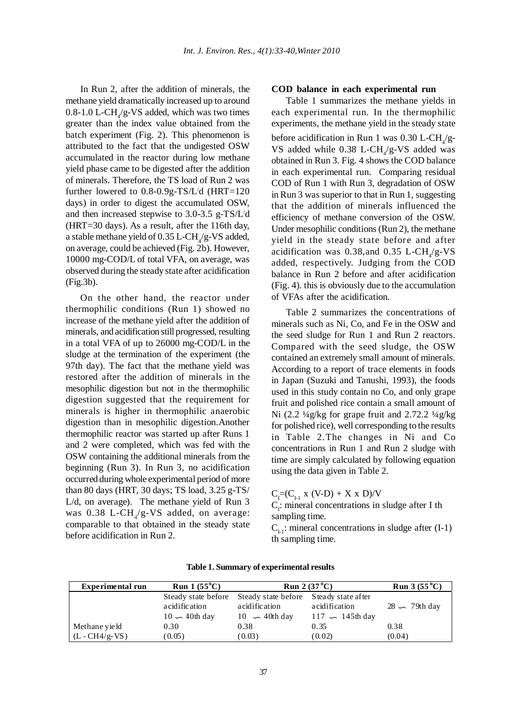In Run 2, after the addition of minerals, the methane yield dramatically increased up to around  $0.8$ -1.0 L-CH<sub>4</sub>/g-VS added, which was two times greater than the index value obtained from the batch experiment (Fig. 2). This phenomenon is attributed to the fact that the undigested OSW accumulated in the reactor during low methane yield phase came to be digested after the addition of minerals. Therefore, the TS load of Run 2 was further lowered to 0.8-0.9g-TS/L/ d (HRT=120 days) in order to digest the accumulated OSW, and then increased stepwise to 3.0-3.5 g-TS/L/ d (HRT=30 days). As a result, after the 116th day, a stable methane yield of  $0.35$  L-CH<sub>4</sub>/g-VS added, on average, could be achieved (Fig. 2b). However, 10000 mg-COD/L of total VFA, on average, was observed during the steady state after acidification (Fig.3b).

On the other hand, the reactor under thermophilic conditions (Run 1) showed no increase of the methane yield after the addition of minerals, and acidification still progressed, resulting in a total VFA of up to 26000 mg-COD/L in the sludge at the termination of the experiment (the 97th day). The fact that the methane yield was restored after the addition of minerals in the mesophilic digestion but not in the thermophilic digestion suggested that the requirement for minerals is higher in thermophilic anaerobic digestion than in mesophilic digestion.Another thermophilic reactor was started up after Runs 1 and 2 were completed, which was fed with the OSW containing the additional minerals from the beginning (Run 3). In Run 3, no acidification occurred during whole experimental period of more than 80 days (HRT, 30 days; TS load, 3.25 g-TS/ L/d, on average). The methane yield of Run 3 was  $0.38$  L-CH $/$ g-VS added, on average: comparable to that obtained in the steady state before acidification in Run 2.

### **COD balance in each experimental run**

Table 1 summarizes the methane yields in each experimental run. In the thermophilic experiments, the methane yield in the steady state before acidification in Run 1 was  $0.30$  L-CH<sub>4</sub>/g-VS added while  $0.38$  L-CH<sub>4</sub>/g-VS added was obtained in Run 3. Fig. 4 shows the COD balance in each experimental run. Comparing residual COD of Run 1 with Run 3, degradation of OSW in Run 3 was superior to that in Run 1, suggesting that the addition of minerals influenced the efficiency of methane conversion of the OSW. Under mesophilic conditions (Run 2), the methane yield in the steady state before and after acidification was  $0.38$ , and  $0.35$  L-CH<sub>4</sub>/g-VS added, respectively. Judging from the COD balance in Run 2 before and after acidification (Fig. 4). this is obviously due to the accumulation of VFAs after the acidification.

Table 2 summarizes the concentrations of minerals such as Ni, Co, and Fe in the OSW and the seed sludge for Run 1 and Run 2 reactors. Compared with the seed sludge, the OSW contained an extremely small amount of minerals. According to a report of trace elements in foods in Japan (Suzuki and Tanushi, 1993), the foods used in this study contain no Co, and only grape fruit and polished rice contain a small amount of Ni  $(2.2 \frac{1}{4}g/kg)$  for grape fruit and  $2.72.2 \frac{1}{4}g/kg$ for polished rice), well corresponding to the results in Table 2.The changes in Ni and Co concentrations in Run 1 and Run 2 sludge with time are simply calculated by following equation using the data given in Table 2.

 $C_{I}=(C_{I-1} x (V-D) + X x D)/V$ 

 $C_i$ : mineral concentrations in sludge after I th sampling time.

 $C_{i}$ : mineral concentrations in sludge after (I-1) th sampling time.

| Experimental run | Run $1(55^{\circ}C)$     | <b>Run</b> 2 (37 °C)                                                        |                            | <b>Run 3 (55 °C)</b> |
|------------------|--------------------------|-----------------------------------------------------------------------------|----------------------------|----------------------|
|                  | a cidification           | Steady state before Steady state before Steady state after<br>acidification | acidification              | $28 - 79$ th day     |
| Methane yield    | $10 - 40$ th day<br>0.30 | $10 \leftarrow 40$ th day<br>0.38                                           | $117 - 145$ th day<br>0.35 | 0.38                 |
| $(L - CH4/g-VS)$ | (0.05)                   | (0.03)                                                                      | (0.02)                     | (0.04)               |

**Table 1. Summary of experimental results**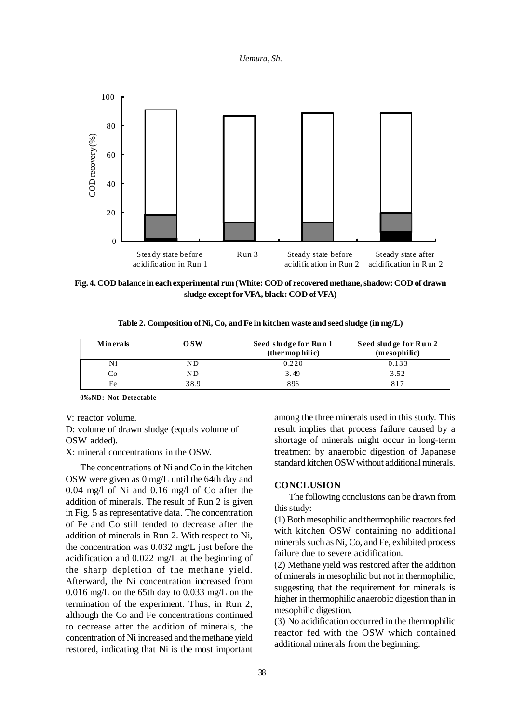#### *Uemura, Sh.*



**Fig. 4. COD balance in each experimental run (White: COD of recovered methane, shadow: COD of drawn sludge except for VFA, black: COD of VFA)**

|  |  | Table 2. Composition of Ni, Co, and Fe in kitchen waste and seed sludge (in mg/L) |  |  |
|--|--|-----------------------------------------------------------------------------------|--|--|
|  |  |                                                                                   |  |  |

| <b>M</b> in erals | osw  | Seed sludge for Run 1<br>(ther mop hilic) | Seed sludge for Run 2<br>(mesophilic) |
|-------------------|------|-------------------------------------------|---------------------------------------|
| Ni                | ΝD   | 0.220                                     | 0.133                                 |
| Co                | ND.  | 3.49                                      | 3.52                                  |
| Fe                | 38.9 | 896                                       | 817                                   |

**0‰ND: Not Detectable**

V: reactor volume.

D: volume of drawn sludge (equals volume of OSW added).

X: mineral concentrations in the OSW.

The concentrations of Ni and Co in the kitchen OSW were given as 0 mg/L until the 64th day and 0.04 mg/l of Ni and 0.16 mg/l of Co after the addition of minerals. The result of Run 2 is given in Fig. 5 as representative data. The concentration of Fe and Co still tended to decrease after the addition of minerals in Run 2. With respect to Ni, the concentration was 0.032 mg/L just before the acidification and 0.022 mg/L at the beginning of the sharp depletion of the methane yield. Afterward, the Ni concentration increased from 0.016 mg/L on the 65th day to 0.033 mg/L on the termination of the experiment. Thus, in Run 2, although the Co and Fe concentrations continued to decrease after the addition of minerals, the concentration of Ni increased and the methane yield restored, indicating that Ni is the most important among the three minerals used in this study. This result implies that process failure caused by a shortage of minerals might occur in long-term treatment by anaerobic digestion of Japanese standard kitchen OSW without additional minerals.

## **CONCLUSION**

The following conclusions can be drawn from this study:

(1) Both mesophilic and thermophilic reactors fed with kitchen OSW containing no additional minerals such as Ni, Co, and Fe, exhibited process failure due to severe acidification.

(2) Methane yield was restored after the addition of minerals in mesophilic but not in thermophilic, suggesting that the requirement for minerals is higher in thermophilic anaerobic digestion than in mesophilic digestion.

(3) No acidification occurred in the thermophilic reactor fed with the OSW which contained additional minerals from the beginning.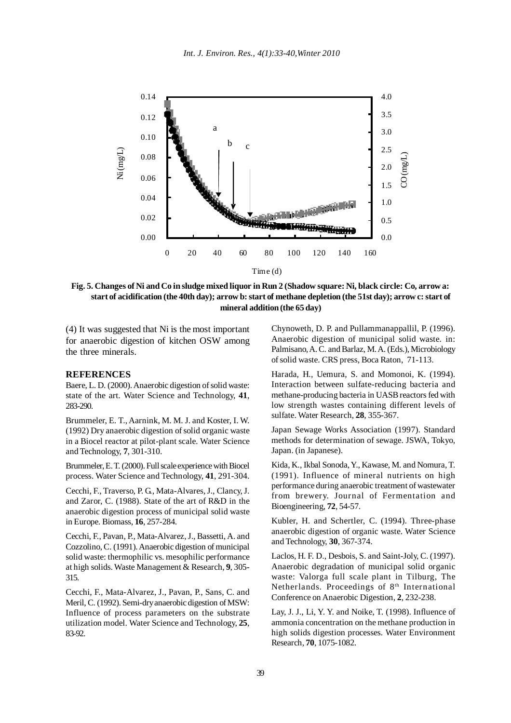

**Fig. 5. Changes of Ni and Co in sludge mixed liquor in Run 2 (Shadow square: Ni, black circle: Co, arrow a: start of acidification (the 40th day); arrow b: start of methane depletion (the 51st day); arrow c: start of mineral addition (the 65 day)**

(4) It was suggested that Ni is the most important for anaerobic digestion of kitchen OSW among the three minerals.

#### **REFERENCES**

Baere, L. D. (2000). Anaerobic digestion of solid waste: state of the art. Water Science and Technology, **41**, 283-290.

Brummeler, E. T., Aarnink, M. M. J. and Koster, I. W. (1992) Dry anaerobic digestion of solid organic waste in a Biocel reactor at pilot-plant scale. Water Science and Technology, **7**, 301-310.

Brummeler, E. T. (2000). Full scale experience with Biocel process. Water Science and Technology, **41**, 291-304.

Cecchi, F., Traverso, P. G., Mata-Alvares, J., Clancy, J. and Zaror, C. (1988). State of the art of R&D in the anaerobic digestion process of municipal solid waste in Europe. Biomass, **16**, 257-284.

Cecchi, F., Pavan, P., Mata-Alvarez, J., Bassetti, A. and Cozzolino, C. (1991). Anaerobic digestion of municipal solid waste: thermophilic vs. mesophilic performance at high solids. Waste Management & Research, **9**, 305- 315.

Cecchi, F., Mata-Alvarez, J., Pavan, P., Sans, C. and Meril, C. (1992). Semi-dry anaerobic digestion of MSW: Influence of process parameters on the substrate utilization model. Water Science and Technology, **25**, 83-92.

Chynoweth, D. P. and Pullammanappallil, P. (1996). Anaerobic digestion of municipal solid waste. in: Palmisano, A. C. and Barlaz, M. A. (Eds.), Microbiology of solid waste. CRS press, Boca Raton, 71-113.

Harada, H., Uemura, S. and Momonoi, K. (1994). Interaction between sulfate-reducing bacteria and methane-producing bacteria in UASB reactors fed with low strength wastes containing different levels of sulfate. Water Research, **28**, 355-367.

Japan Sewage Works Association (1997). Standard methods for determination of sewage. JSWA, Tokyo, Japan. (in Japanese).

Kida, K., Ikbal Sonoda, Y., Kawase, M. and Nomura, T. (1991). Influence of mineral nutrients on high performance during anaerobic treatment of wastewater from brewery. Journal of Fermentation and Bioengineering, **72**, 54-57.

Kubler, H. and Schertler, C. (1994). Three-phase anaerobic digestion of organic waste. Water Science and Technology, **30**, 367-374.

Laclos, H. F. D., Desbois, S. and Saint-Joly, C. (1997). Anaerobic degradation of municipal solid organic waste: Valorga full scale plant in Tilburg, The Netherlands. Proceedings of 8<sup>th</sup> International Conference on Anaerobic Digestion, **2**, 232-238.

Lay, J. J., Li, Y. Y. and Noike, T. (1998). Influence of ammonia concentration on the methane production in high solids digestion processes. Water Environment Research, **70**, 1075-1082.